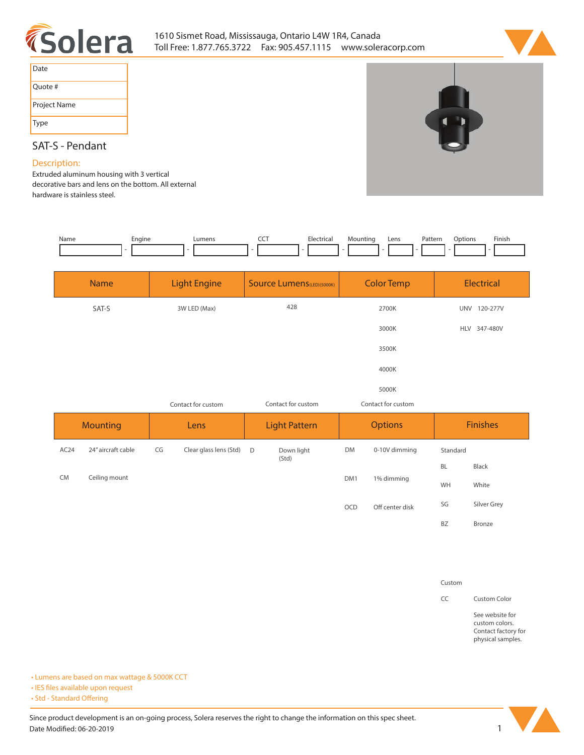



| Date         |
|--------------|
| Quote #      |
| Project Name |
| Type         |

# **SAT-S - Pendant**

### **Description:**

**Extruded aluminum housing with 3 vertical decorative bars and lens on the bottom. All external hardware is stainless steel.** 

| Name | Engine | ∟umens | <b>CONTRACTOR</b> | Electrical | Mountina | Lens | Pattern | )ptions | Finish |
|------|--------|--------|-------------------|------------|----------|------|---------|---------|--------|
|      |        |        |                   |            |          |      |         |         |        |

|                  | <b>Name</b>           |                    | <b>Light Engine</b>    |                      | <b>Source Lumens (LED)(5000K)</b> |                            | <b>Color Temp</b> |                 | <b>Electrical</b> |
|------------------|-----------------------|--------------------|------------------------|----------------------|-----------------------------------|----------------------------|-------------------|-----------------|-------------------|
|                  | SAT-S<br>3W LED (Max) |                    | 428                    |                      | 2700K                             |                            | UNV 120-277V      |                 |                   |
|                  |                       |                    |                        |                      |                                   |                            | 3000K             |                 | HLV 347-480V      |
|                  |                       |                    |                        | 3500K                |                                   |                            |                   |                 |                   |
|                  |                       |                    |                        |                      |                                   |                            | 4000K             |                 |                   |
|                  |                       |                    |                        |                      |                                   |                            | 5000K             |                 |                   |
|                  |                       | Contact for custom |                        | Contact for custom   |                                   | Contact for custom         |                   |                 |                   |
| <b>Mounting</b>  |                       | Lens               |                        | <b>Light Pattern</b> |                                   | <b>Options</b>             |                   | <b>Finishes</b> |                   |
| AC <sub>24</sub> | 24" aircraft cable    | CG                 | Clear glass lens (Std) | D                    | Down light<br>(Std)               | <b>DM</b><br>0-10V dimming |                   | Standard        |                   |
|                  |                       |                    |                        | BL                   | Black                             |                            |                   |                 |                   |
| <b>CM</b>        | Ceiling mount         |                    |                        |                      |                                   | DM1                        | 1% dimming        |                 | White             |
|                  |                       |                    |                        |                      |                                   | OCD                        | Off center disk   | SG              | Silver Grey       |
|                  |                       |                    |                        |                      |                                   |                            |                   | <b>BZ</b>       | Bronze            |

**Custom**

**CC Custom Color**

**See website for custom colors. Contact factory for physical samples.** 

**• Lumens are based on max wattage & 5000K CCT**

**• IES files available upon request** 

• Std - Standard Offering

Since product development is an on-going process, Solera reserves the right to change the information on this spec sheet. **Date Modified: 06-20-2019** 1